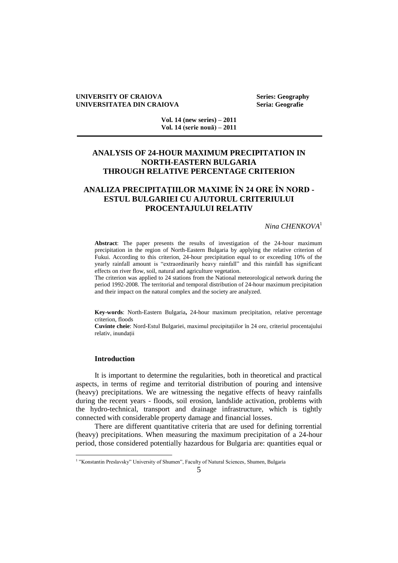#### **UNIVERSITY OF CRAIOVA Series: Geography UNIVERSITATEA DIN CRAIOVA Seria: Geografie**

**Vol. 14 (new series) – 2011 Vol. 14 (serie nouă) – 2011**

## **ANALYSIS OF 24-HOUR MAXIMUM PRECIPITATION IN NORTH-EASTERN BULGARIA THROUGH RELATIVE PERCENTAGE CRITERION**

# **ANALIZA PRECIPITAŢIILOR MAXIME ÎN 24 ORE ÎN NORD - ESTUL BULGARIEI CU AJUTORUL CRITERIULUI PROCENTAJULUI RELATIV**

## *Nina CHENKOVA*<sup>1</sup>

**Abstract**: The paper presents the results of investigation of the 24-hour maximum precipitation in the region of North-Eastern Bulgaria by applying the relative criterion of Fukui. According to this criterion, 24-hour precipitation equal to or exceeding 10% of the yearly rainfall amount is "extraordinarily heavy rainfall" and this rainfall has significant effects on river flow, soil, natural and agriculture vegetation.

The criterion was applied to 24 stations from the National meteorological network during the period 1992-2008. The territorial and temporal distribution of 24-hour maximum precipitation and their impact on the natural complex and the society are analyzed.

**Key-words**: North-Eastern Bulgaria**,** 24-hour maximum precipitation, relative percentage criterion, floods

**Cuvinte cheie**: Nord-Estul Bulgariei, maximul precipitațiilor în 24 ore, criteriul procentajului relativ, inundații

#### **Introduction**

It is important to determine the regularities, both in theoretical and practical aspects, in terms of regime and territorial distribution of pouring and intensive (heavy) precipitations. We are witnessing the negative effects of heavy rainfalls during the recent years - floods, soil erosion, landslide activation, problems with the hydro-technical, transport and drainage infrastructure, which is tightly connected with considerable property damage and financial losses.

There are different quantitative criteria that are used for defining torrential (heavy) precipitations. When measuring the maximum precipitation of a 24-hour period, those considered potentially hazardous for Bulgaria are: quantities equal or

 1 "Konstantin Preslavsky" University of Shumen", Faculty of Natural Sciences, Shumen, Bulgaria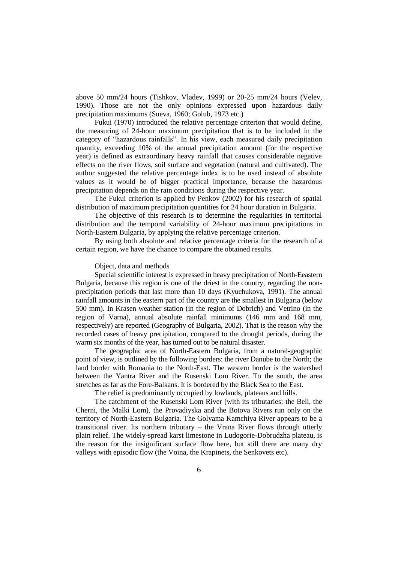above 50 mm/24 hours (Tishkov, Vladev, 1999) or 20-25 mm/24 hours (Velev, 1990). Those are not the only opinions expressed upon hazardous daily precipitation maximums (Sueva, 1960; Golub, 1973 etc.)

Fukui (1970) introduced the relative percentage criterion that would define, the measuring of 24-hour maximum precipitation that is to be included in the category of "hazardous rainfalls". In his view, each measured daily precipitation quantity, exceeding 10% of the annual precipitation amount (for the respective year) is defined as extraordinary heavy rainfall that causes considerable negative effects on the river flows, soil surface and vegetation (natural and cultivated). The author suggested the relative percentage index is to be used instead of absolute values as it would be of bigger practical importance, because the hazardous precipitation depends on the rain conditions during the respective year.

The Fukui criterion is applied by Penkov (2002) for his research of spatial distribution of maximum precipitation quantities for 24 hour duration in Bulgaria.

The objective of this research is to determine the regularities in territorial distribution and the temporal variability of 24-hour maximum precipitations in North-Eastern Bulgaria, by applying the relative percentage criterion.

By using both absolute and relative percentage criteria for the research of a certain region, we have the chance to compare the obtained results.

#### Object, data and methods

Special scientific interest is expressed in heavy precipitation of North-Eeastern Bulgaria, because this region is one of the driest in the country, regarding the nonprecipitation periods that last more than 10 days (Kyuchukova, 1991). The annual rainfall amounts in the eastern part of the country are the smallest in Bulgaria (below 500 mm). In Krasen weather station (in the region of Dobrich) and Vetrino (in the region of Varna), annual absolute rainfall minimums (146 mm and 168 mm, respectively) are reported (Geography of Bulgaria, 2002). That is the reason why the recorded cases of heavy precipitation, compared to the drought periods, during the warm six months of the year, has turned out to be natural disaster.

The geographic area of North-Eastern Bulgaria, from a natural-geographic point of view, is outlined by the following borders: the river Danube to the North; the land border with Romania to the North-East. The western border is the watershed between the Yantra River and the Rusenski Lom River. To the south, the area stretches as far as the Fore-Balkans. It is bordered by the Black Sea to the East.

The relief is predominantly occupied by lowlands, plateaus and hills.

The catchment of the Rusenski Lom River (with its tributaries: the Beli, the Cherni, the Malki Lom), the Provadiyska and the Botova Rivers run only on the territory of North-Eastern Bulgaria. The Golyama Kamchiya River appears to be a transitional river. Its northern tributary – the Vrana River flows through utterly plain relief. The widely-spread karst limestone in Ludogorie-Dobrudzha plateau, is the reason for the insignificant surface flow here, but still there are many dry valleys with episodic flow (the Voina, the Krapinets, the Senkovets etc).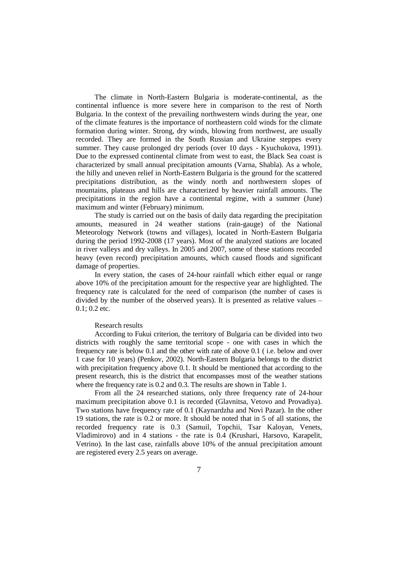The climate in North-Eastern Bulgaria is moderate-continental, as the continental influence is more severe here in comparison to the rest of North Bulgaria. In the context of the prevailing northwestern winds during the year, one of the climate features is the importance of northeastern cold winds for the climate formation during winter. Strong, dry winds, blowing from northwest, are usually recorded. They are formed in the South Russian and Ukraine steppes every summer. They cause prolonged dry periods (over 10 days - Kyuchukova, 1991). Due to the expressed continental climate from west to east, the Black Sea coast is characterized by small annual precipitation amounts (Varna, Shabla). As a whole, the hilly and uneven relief in North-Eastern Bulgaria is the ground for the scattered precipitations distribution, as the windy north and northwestern slopes of mountains, plateaus and hills are characterized by heavier rainfall amounts. The precipitations in the region have a continental regime, with a summer (June) maximum and winter (February) minimum.

The study is carried out on the basis of daily data regarding the precipitation amounts, measured in 24 weather stations (rain-gauge) of the National Meteorology Network (towns and villages), located in North-Eastern Bulgaria during the period 1992-2008 (17 years). Most of the analyzed stations are located in river valleys and dry valleys. In 2005 and 2007, some of these stations recorded heavy (even record) precipitation amounts, which caused floods and significant damage of properties.

In every station, the cases of 24-hour rainfall which either equal or range above 10% of the precipitation amount for the respective year are highlighted. The frequency rate is calculated for the need of comparison (the number of cases is divided by the number of the observed years). It is presented as relative values – 0.1; 0.2 etc.

#### Research results

According to Fukui criterion, the territory of Bulgaria can be divided into two districts with roughly the same territorial scope - one with cases in which the frequency rate is below 0.1 and the other with rate of above 0.1 ( i.e. below and over 1 case for 10 years) (Penkov, 2002). North-Eastern Bulgaria belongs to the district with precipitation frequency above 0.1. It should be mentioned that according to the present research, this is the district that encompasses most of the weather stations where the frequency rate is 0.2 and 0.3. The results are shown in Table 1.

From all the 24 researched stations, only three frequency rate of 24-hour maximum precipitation above 0.1 is recorded (Glavnitsa, Vetovo and Provadiya). Two stations have frequency rate of 0.1 (Kaynardzha and Novi Pazar). In the other 19 stations, the rate is 0.2 or more. It should be noted that in 5 of all stations, the recorded frequency rate is 0.3 (Samuil, Topchii, Tsar Kaloyan, Venets, Vladimirovo) and in 4 stations - the rate is 0.4 (Krushari, Harsovo, Karapelit, Vetrino). In the last case, rainfalls above 10% of the annual precipitation amount are registered every 2.5 years on average.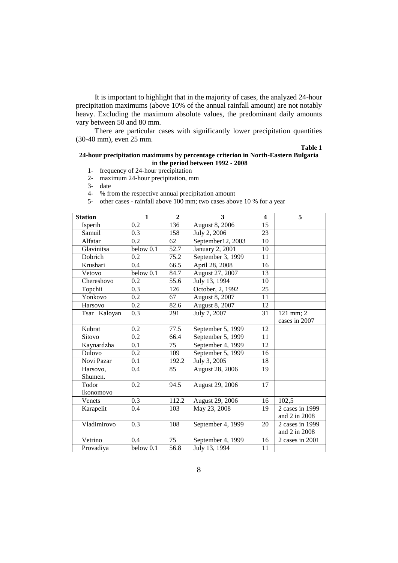It is important to highlight that in the majority of cases, the analyzed 24-hour precipitation maximums (above 10% of the annual rainfall amount) are not notably heavy. Excluding the maximum absolute values, the predominant daily amounts vary between 50 and 80 mm.

There are particular cases with significantly lower precipitation quantities (30-40 mm), even 25 mm.

#### **Table 1**

#### **24-hour precipitation maximums by percentage criterion in North-Eastern Bulgaria in the period between 1992 - 2008**

- 1- frequency of 24-hour precipitation
- 2- maximum 24-hour precipitation, mm

3- date

- 4- % from the respective annual precipitation amount
- 5- other cases rainfall above 100 mm; two cases above 10 % for a year

| <b>Station</b> | $\mathbf{1}$     | $\overline{2}$ | 3                      | $\overline{\mathbf{4}}$ | 5               |
|----------------|------------------|----------------|------------------------|-------------------------|-----------------|
| Isperih        | 0.2              | 136            | August 8, 2006         | 15                      |                 |
| Samuil         | 0.3              | 158            | July 2, 2006           | 23                      |                 |
| Alfatar        | 0.2              | 62             | September12, 2003      | 10                      |                 |
| Glavinitsa     | below 0.1        | 52.7           | <b>January 2, 2001</b> | 10                      |                 |
| Dobrich        | $\overline{0.2}$ | 75.2           | September 3, 1999      | 11                      |                 |
| Krushari       | 0.4              | 66.5           | April 28, 2008         | 16                      |                 |
| Vetovo         | below 0.1        | 84.7           | August 27, 2007        | 13                      |                 |
| Chereshovo     | 0.2              | 55.6           | July 13, 1994          | 10                      |                 |
| Topchii        | 0.3              | 126            | October, 2, 1992       | 25                      |                 |
| Yonkovo        | 0.2              | 67             | August 8, 2007         | 11                      |                 |
| Harsovo        | 0.2              | 82.6           | August 8, 2007         | 12                      |                 |
| Tsar Kaloyan   | 0.3              | 291            | July 7, 2007           | 31                      | 121 mm; 2       |
|                |                  |                |                        |                         | cases in 2007   |
| Kubrat         | 0.2              | 77.5           | September 5, 1999      | 12                      |                 |
| Sitovo         | 0.2              | 66.4           | September 5, 1999      | 11                      |                 |
| Kaynardzha     | 0.1              | 75             | September 4, 1999      | 12                      |                 |
| Dulovo         | 0.2              | 109            | September 5, 1999      | 16                      |                 |
| Novi Pazar     | 0.1              | 192.2          | July 3, 2005           | 18                      |                 |
| Harsovo,       | 0.4              | 85             | August 28, 2006        | 19                      |                 |
| Shumen.        |                  |                |                        |                         |                 |
| Todor          | 0.2              | 94.5           | August 29, 2006        | 17                      |                 |
| Ikonomovo      |                  |                |                        |                         |                 |
| Venets         | 0.3              | 112.2          | August 29, 2006        | 16                      | 102,5           |
| Karapelit      | 0.4              | 103            | May 23, 2008           | 19                      | 2 cases in 1999 |
|                |                  |                |                        |                         | and 2 in 2008   |
| Vladimirovo    | 0.3              | 108            | September 4, 1999      | 20                      | 2 cases in 1999 |
|                |                  |                |                        |                         | and 2 in 2008   |
| Vetrino        | 0.4              | 75             | September 4, 1999      | 16                      | 2 cases in 2001 |
| Provadiya      | below 0.1        | 56.8           | July 13, 1994          | 11                      |                 |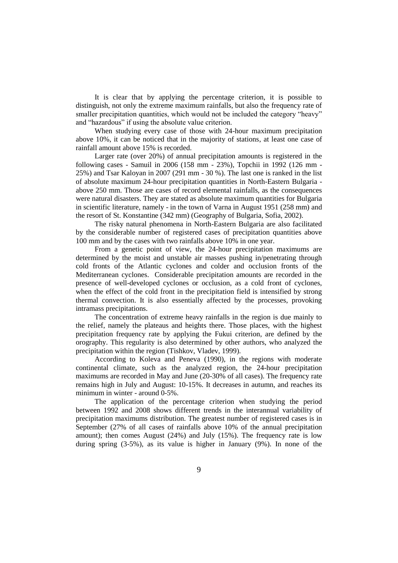It is clear that by applying the percentage criterion, it is possible to distinguish, not only the extreme maximum rainfalls, but also the frequency rate of smaller precipitation quantities, which would not be included the category "heavy" and "hazardous" if using the absolute value criterion.

When studying every case of those with 24-hour maximum precipitation above 10%, it can be noticed that in the majority of stations, at least one case of rainfall amount above 15% is recorded.

Larger rate (over 20%) of annual precipitation amounts is registered in the following cases - Samuil in 2006 (158 mm - 23%), Topchii in 1992 (126 mm - 25%) and Tsar Kaloyan in 2007 (291 mm - 30 %). The last one is ranked in the list of absolute maximum 24-hour precipitation quantities in North-Eastern Bulgaria above 250 mm. Those are cases of record elemental rainfalls, as the consequences were natural disasters. They are stated as absolute maximum quantities for Bulgaria in scientific literature, namely - in the town of Varna in August 1951 (258 mm) and the resort of St. Konstantine (342 mm) (Geography of Bulgaria, Sofia, 2002).

The risky natural phenomena in North-Eastern Bulgaria are also facilitated by the considerable number of registered cases of precipitation quantities above 100 mm and by the cases with two rainfalls above 10% in one year.

From a genetic point of view, the 24-hour precipitation maximums are determined by the moist and unstable air masses pushing in/penetrating through cold fronts of the Atlantic cyclones and colder and occlusion fronts of the Mediterranean cyclones. Considerable precipitation amounts are recorded in the presence of well-developed cyclones or occlusion, as a cold front of cyclones, when the effect of the cold front in the precipitation field is intensified by strong thermal convection. It is also essentially affected by the processes, provoking intramass precipitations.

The concentration of extreme heavy rainfalls in the region is due mainly to the relief, namely the plateaus and heights there. Those places, with the highest precipitation frequency rate by applying the Fukui criterion, are defined by the orography. This regularity is also determined by other authors, who analyzed the precipitation within the region (Tishkov, Vladev, 1999).

According to Koleva and Peneva (1990), in the regions with moderate continental climate, such as the analyzed region, the 24-hour precipitation maximums are recorded in May and June (20-30% of all cases). The frequency rate remains high in July and August: 10-15%. It decreases in autumn, and reaches its minimum in winter - around 0-5%.

The application of the percentage criterion when studying the period between 1992 and 2008 shows different trends in the interannual variability of precipitation maximums distribution. The greatest number of registered cases is in September (27% of all cases of rainfalls above 10% of the annual precipitation amount); then comes August (24%) and July (15%). The frequency rate is low during spring (3-5%), as its value is higher in January (9%). In none of the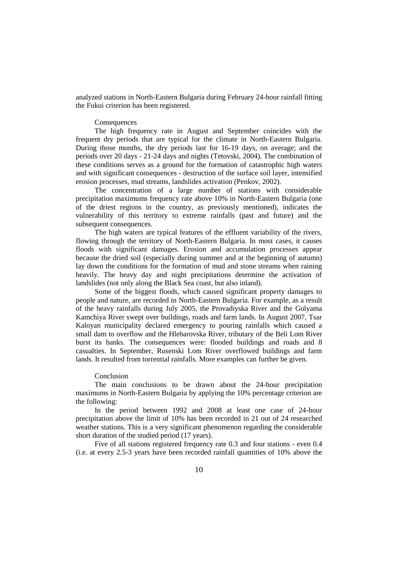analyzed stations in North-Eastern Bulgaria during February 24-hour rainfall fitting the Fukui criterion has been registered.

#### Consequences

The high frequency rate in August and September coincides with the frequent dry periods that are typical for the climate in North-Eastern Bulgaria. During those months, the dry periods last for 16-19 days, on average; and the periods over 20 days - 21-24 days and nights (Tetovski, 2004). The combination of these conditions serves as a ground for the formation of catastrophic high waters and with significant consequences - destruction of the surface soil layer, intensified erosion processes, mud streams, landslides activation (Penkov, 2002).

The concentration of a large number of stations with considerable precipitation maximums frequency rate above 10% in North-Eastern Bulgaria (one of the driest regions in the country, as previously mentioned), indicates the vulnerability of this territory to extreme rainfalls (past and future) and the subsequent consequences.

The high waters are typical features of the effluent variability of the rivers, flowing through the territory of North-Eastern Bulgaria. In most cases, it causes floods with significant damages. Erosion and accumulation processes appear because the dried soil (especially during summer and at the beginning of autumn) lay down the conditions for the formation of mud and stone streams when raining heavily. The heavy day and night precipitations determine the activation of landslides (not only along the Black Sea coast, but also inland).

Some of the biggest floods, which caused significant property damages to people and nature, are recorded in North-Eastern Bulgaria. For example, as a result of the heavy rainfalls during July 2005, the Provadiyska River and the Golyama Kamchiya River swept over buildings, roads and farm lands. In August 2007, Tsar Kaloyan municipality declared emergency to pouring rainfalls which caused a small dam to overflow and the Hlebarovska River, tributary of the Beli Lom River burst its banks. The consequences were: flooded buildings and roads and 8 casualties. In September, Rusenski Lom River overflowed buildings and farm lands. It resulted from torrential rainfalls. More examples can further be given.

## Conclusion

The main conclusions to be drawn about the 24-hour precipitation maximums in North-Eastern Bulgaria by applying the 10% percentage criterion are the following:

In the period between 1992 and 2008 at least one case of 24-hour precipitation above the limit of 10% has been recorded in 21 out of 24 researched weather stations. This is a very significant phenomenon regarding the considerable short duration of the studied period (17 years).

Five of all stations registered frequency rate 0.3 and four stations - even 0.4 (i.e. at every 2.5-3 years have been recorded rainfall quantities of 10% above the